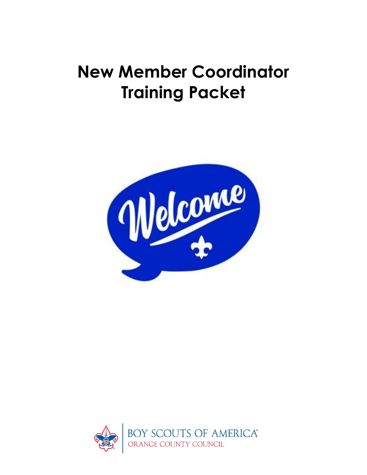# **New Member Coordinator Training Packet**



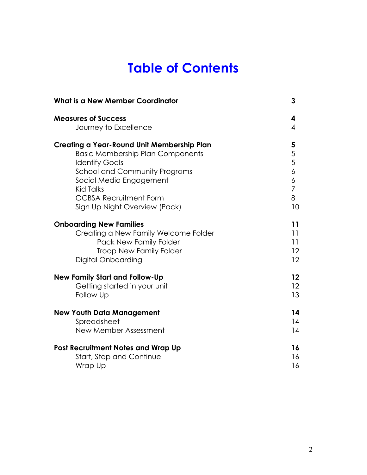## **Table of Contents**

| What is a New Member Coordinator           | 3              |
|--------------------------------------------|----------------|
| <b>Measures of Success</b>                 | 4              |
| Journey to Excellence                      | 4              |
| Creating a Year-Round Unit Membership Plan | 5              |
| <b>Basic Membership Plan Components</b>    | 5              |
| <b>Identify Goals</b>                      | 5              |
| <b>School and Community Programs</b>       | 6              |
| Social Media Engagement                    | 6              |
| <b>Kid Talks</b>                           | $\overline{7}$ |
| <b>OCBSA Recruitment Form</b>              | 8              |
| Sign Up Night Overview (Pack)              | 10             |
| <b>Onboarding New Families</b>             | 11             |
| Creating a New Family Welcome Folder       | 11             |
| Pack New Family Folder                     | 11             |
| <b>Troop New Family Folder</b>             | 12             |
| Digital Onboarding                         | 12             |
| <b>New Family Start and Follow-Up</b>      | 12             |
| Getting started in your unit               | 12             |
| <b>Follow Up</b>                           | 13             |
| <b>New Youth Data Management</b>           | 14             |
| Spreadsheet                                | 14             |
| <b>New Member Assessment</b>               | 14             |
| <b>Post Recruitment Notes and Wrap Up</b>  | 16             |
| <b>Start, Stop and Continue</b>            | 16             |
| Wrap Up                                    | 16             |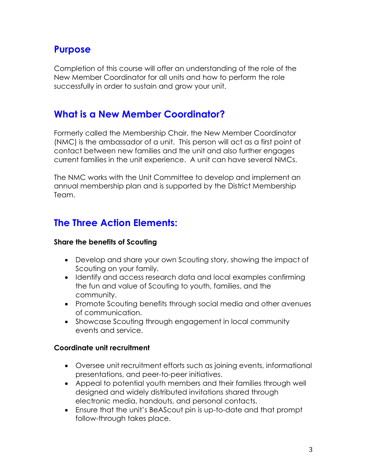## **Purpose**

Completion of this course will offer an understanding of the role of the New Member Coordinator for all units and how to perform the role successfully in order to sustain and grow your unit.

## **What is a New Member Coordinator?**

Formerly called the Membership Chair, the New Member Coordinator (NMC) is the ambassador of a unit. This person will act as a first point of contact between new families and the unit and also further engages current families in the unit experience. A unit can have several NMCs.

The NMC works with the Unit Committee to develop and implement an annual membership plan and is supported by the District Membership Team.

## **The Three Action Elements:**

#### **Share the benefits of Scouting**

- Develop and share your own Scouting story, showing the impact of Scouting on your family.
- Identify and access research data and local examples confirming the fun and value of Scouting to youth, families, and the community.
- Promote Scouting benefits through social media and other avenues of communication.
- Showcase Scouting through engagement in local community events and service.

#### **Coordinate unit recruitment**

- Oversee unit recruitment efforts such as joining events, informational presentations, and peer-to-peer initiatives.
- Appeal to potential youth members and their families through well designed and widely distributed invitations shared through electronic media, handouts, and personal contacts.
- Ensure that the unit's BeAScout pin is up-to-date and that prompt follow-through takes place.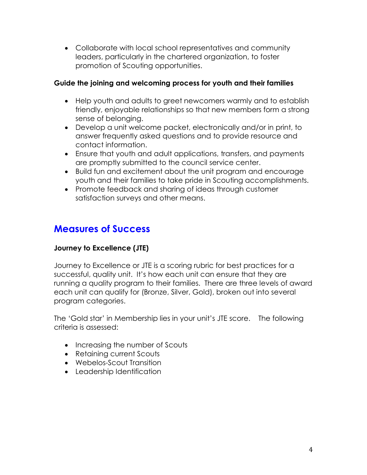• Collaborate with local school representatives and community leaders, particularly in the chartered organization, to foster promotion of Scouting opportunities.

#### **Guide the joining and welcoming process for youth and their families**

- Help youth and adults to greet newcomers warmly and to establish friendly, enjoyable relationships so that new members form a strong sense of belonging.
- Develop a unit welcome packet, electronically and/or in print, to answer frequently asked questions and to provide resource and contact information.
- Ensure that youth and adult applications, transfers, and payments are promptly submitted to the council service center.
- Build fun and excitement about the unit program and encourage youth and their families to take pride in Scouting accomplishments.
- Promote feedback and sharing of ideas through customer satisfaction surveys and other means.

### **Measures of Success**

#### **Journey to Excellence (JTE)**

Journey to Excellence or JTE is a scoring rubric for best practices for a successful, quality unit. It's how each unit can ensure that they are running a quality program to their families. There are three levels of award each unit can qualify for (Bronze, Silver, Gold), broken out into several program categories.

The 'Gold star' in Membership lies in your unit's JTE score. The following criteria is assessed:

- Increasing the number of Scouts
- Retaining current Scouts
- Webelos-Scout Transition
- Leadership Identification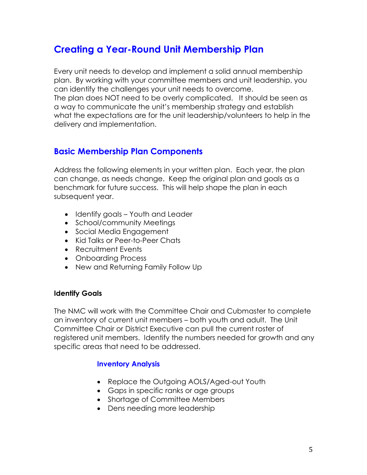## **Creating a Year-Round Unit Membership Plan**

Every unit needs to develop and implement a solid annual membership plan. By working with your committee members and unit leadership, you can identify the challenges your unit needs to overcome. The plan does NOT need to be overly complicated. It should be seen as a way to communicate the unit's membership strategy and establish what the expectations are for the unit leadership/volunteers to help in the delivery and implementation.

#### **Basic Membership Plan Components**

Address the following elements in your written plan. Each year, the plan can change, as needs change. Keep the original plan and goals as a benchmark for future success. This will help shape the plan in each subsequent year.

- Identify goals Youth and Leader
- School/community Meetings
- Social Media Engagement
- Kid Talks or Peer-to-Peer Chats
- Recruitment Events
- Onboarding Process
- New and Returning Family Follow Up

#### **Identify Goals**

The NMC will work with the Committee Chair and Cubmaster to complete an inventory of current unit members – both youth and adult. The Unit Committee Chair or District Executive can pull the current roster of registered unit members. Identify the numbers needed for growth and any specific areas that need to be addressed.

#### **Inventory Analysis**

- Replace the Outgoing AOLS/Aged-out Youth
- Gaps in specific ranks or age groups
- Shortage of Committee Members
- Dens needing more leadership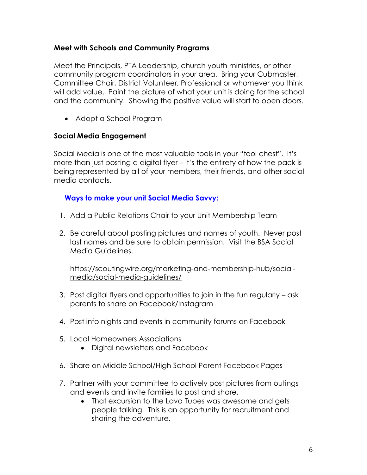#### **Meet with Schools and Community Programs**

Meet the Principals, PTA Leadership, church youth ministries, or other community program coordinators in your area. Bring your Cubmaster, Committee Chair, District Volunteer, Professional or whomever you think will add value. Paint the picture of what your unit is doing for the school and the community. Showing the positive value will start to open doors.

• Adopt a School Program

#### **Social Media Engagement**

Social Media is one of the most valuable tools in your "tool chest". It's more than just posting a digital flyer – it's the entirety of how the pack is being represented by all of your members, their friends, and other social media contacts.

#### **Ways to make your unit Social Media Savvy:**

- 1. Add a Public Relations Chair to your Unit Membership Team
- 2. Be careful about posting pictures and names of youth. Never post last names and be sure to obtain permission. Visit the BSA Social Media Guidelines.

https://scoutingwire.org/marketing-and-membership-hub/socialmedia/social-media-guidelines/

- 3. Post digital flyers and opportunities to join in the fun regularly ask parents to share on Facebook/Instagram
- 4. Post info nights and events in community forums on Facebook
- 5. Local Homeowners Associations
	- Digital newsletters and Facebook
- 6. Share on Middle School/High School Parent Facebook Pages
- 7. Partner with your committee to actively post pictures from outings and events and invite families to post and share.
	- That excursion to the Lava Tubes was awesome and gets people talking. This is an opportunity for recruitment and sharing the adventure.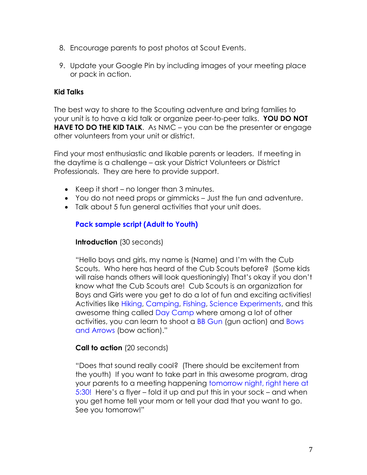- 8. Encourage parents to post photos at Scout Events.
- 9. Update your Google Pin by including images of your meeting place or pack in action.

#### **Kid Talks**

The best way to share to the Scouting adventure and bring families to your unit is to have a kid talk or organize peer-to-peer talks. **YOU DO NOT HAVE TO DO THE KID TALK.** As NMC – you can be the presenter or engage other volunteers from your unit or district.

Find your most enthusiastic and likable parents or leaders. If meeting in the daytime is a challenge – ask your District Volunteers or District Professionals. They are here to provide support.

- Keep it short no longer than 3 minutes.
- You do not need props or gimmicks Just the fun and adventure.
- Talk about 5 fun general activities that your unit does.

#### **Pack sample script (Adult to Youth)**

#### **Introduction** (30 seconds)

"Hello boys and girls, my name is (Name) and I'm with the Cub Scouts. Who here has heard of the Cub Scouts before? (Some kids will raise hands others will look questioningly) That's okay if you don't know what the Cub Scouts are! Cub Scouts is an organization for Boys and Girls were you get to do a lot of fun and exciting activities! Activities like Hiking, Camping, Fishing, Science Experiments, and this awesome thing called Day Camp where among a lot of other activities, you can learn to shoot a BB Gun (gun action) and Bows and Arrows (bow action)."

#### **Call to action** (20 seconds)

"Does that sound really cool? (There should be excitement from the youth) If you want to take part in this awesome program, drag your parents to a meeting happening tomorrow night, right here at 5:30! Here's a flyer – fold it up and put this in your sock – and when you get home tell your mom or tell your dad that you want to go. See you tomorrow!"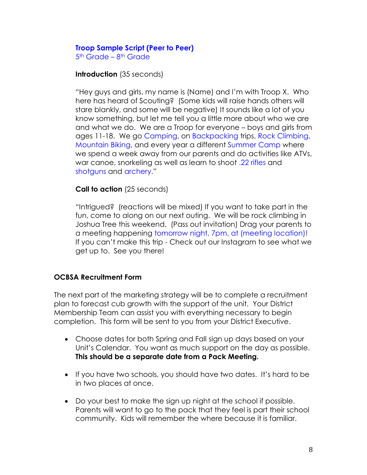#### **Troop Sample Script (Peer to Peer)**

5<sup>th</sup> Grade – 8<sup>th</sup> Grade

#### **Introduction** (35 seconds)

"Hey guys and girls, my name is (Name) and I'm with Troop X. Who here has heard of Scouting? (Some kids will raise hands others will stare blankly, and some will be negative) It sounds like a lot of you know something, but let me tell you a little more about who we are and what we do. We are a Troop for everyone – boys and girls from ages 11-18. We go Camping, on Backpacking trips, Rock Climbing, Mountain Biking, and every year a different Summer Camp where we spend a week away from our parents and do activities like ATVs, war canoe, snorkeling as well as learn to shoot .22 rifles and shotguns and archery."

#### **Call to action** (25 seconds)

"Intrigued? (reactions will be mixed) If you want to take part in the fun, come to along on our next outing. We will be rock climbing in Joshua Tree this weekend. (Pass out invitation) Drag your parents to a meeting happening tomorrow night, 7pm, at (meeting location)! If you can't make this trip - Check out our Instagram to see what we get up to. See you there!

#### **OCBSA Recruitment Form**

The next part of the marketing strategy will be to complete a recruitment plan to forecast cub growth with the support of the unit. Your District Membership Team can assist you with everything necessary to begin completion. This form will be sent to you from your District Executive.

- Choose dates for both Spring and Fall sign up days based on your Unit's Calendar. You want as much support on the day as possible. **This should be a separate date from a Pack Meeting.**
- If you have two schools, you should have two dates. It's hard to be in two places at once.
- Do your best to make the sign up night at the school if possible. Parents will want to go to the pack that they feel is part their school community. Kids will remember the where because it is familiar.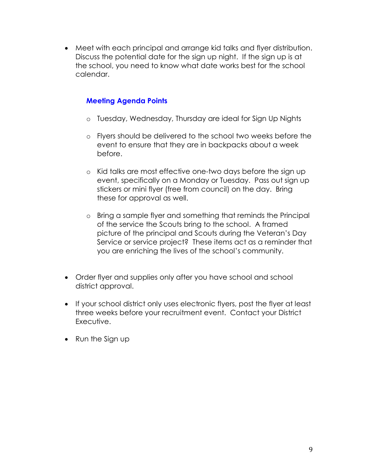• Meet with each principal and arrange kid talks and flyer distribution. Discuss the potential date for the sign up night. If the sign up is at the school, you need to know what date works best for the school calendar.

#### **Meeting Agenda Points**

- o Tuesday, Wednesday, Thursday are ideal for Sign Up Nights
- o Flyers should be delivered to the school two weeks before the event to ensure that they are in backpacks about a week before.
- o Kid talks are most effective one-two days before the sign up event, specifically on a Monday or Tuesday. Pass out sign up stickers or mini flyer (free from council) on the day. Bring these for approval as well.
- o Bring a sample flyer and something that reminds the Principal of the service the Scouts bring to the school. A framed picture of the principal and Scouts during the Veteran's Day Service or service project? These items act as a reminder that you are enriching the lives of the school's community.
- Order flyer and supplies only after you have school and school district approval.
- If your school district only uses electronic flyers, post the flyer at least three weeks before your recruitment event. Contact your District Executive.
- Run the Sign up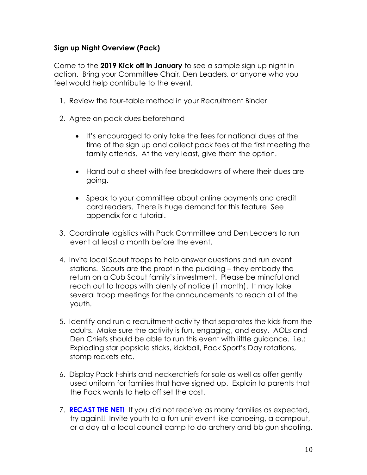#### **Sign up Night Overview (Pack)**

Come to the **2019 Kick off in January** to see a sample sign up night in action. Bring your Committee Chair, Den Leaders, or anyone who you feel would help contribute to the event.

- 1. Review the four-table method in your Recruitment Binder
- 2. Agree on pack dues beforehand
	- It's encouraged to only take the fees for national dues at the time of the sign up and collect pack fees at the first meeting the family attends. At the very least, give them the option.
	- Hand out a sheet with fee breakdowns of where their dues are going.
	- Speak to your committee about online payments and credit card readers. There is huge demand for this feature. See appendix for a tutorial.
- 3. Coordinate logistics with Pack Committee and Den Leaders to run event at least a month before the event.
- 4. Invite local Scout troops to help answer questions and run event stations. Scouts are the proof in the pudding – they embody the return on a Cub Scout family's investment. Please be mindful and reach out to troops with plenty of notice (1 month). It may take several troop meetings for the announcements to reach all of the youth.
- 5. Identify and run a recruitment activity that separates the kids from the adults. Make sure the activity is fun, engaging, and easy. AOLs and Den Chiefs should be able to run this event with little guidance. i.e.: Exploding star popsicle sticks, kickball, Pack Sport's Day rotations, stomp rockets etc.
- 6. Display Pack t-shirts and neckerchiefs for sale as well as offer gently used uniform for families that have signed up. Explain to parents that the Pack wants to help off set the cost.
- 7. **RECAST THE NET!** If you did not receive as many families as expected, try again!! Invite youth to a fun unit event like canoeing, a campout, or a day at a local council camp to do archery and bb gun shooting.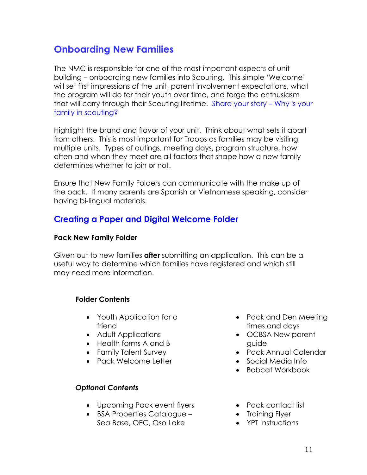## **Onboarding New Families**

The NMC is responsible for one of the most important aspects of unit building – onboarding new families into Scouting. This simple 'Welcome' will set first impressions of the unit, parent involvement expectations, what the program will do for their youth over time, and forge the enthusiasm that will carry through their Scouting lifetime. Share your story – Why is your family in scouting?

Highlight the brand and flavor of your unit. Think about what sets it apart from others. This is most important for Troops as families may be visiting multiple units. Types of outings, meeting days, program structure, how often and when they meet are all factors that shape how a new family determines whether to join or not.

Ensure that New Family Folders can communicate with the make up of the pack. If many parents are Spanish or Vietnamese speaking, consider having bi-lingual materials.

#### **Creating a Paper and Digital Welcome Folder**

#### **Pack New Family Folder**

Given out to new families **after** submitting an application. This can be a useful way to determine which families have registered and which still may need more information.

#### **Folder Contents**

- Youth Application for a friend
- Adult Applications
- Health forms A and B
- Family Talent Survey
- Pack Welcome Letter

#### *Optional Contents*

- Upcoming Pack event flyers
- BSA Properties Catalogue Sea Base, OEC, Oso Lake
- Pack and Den Meeting times and days
- OCBSA New parent guide
- Pack Annual Calendar
- Social Media Info
- Bobcat Workbook
- Pack contact list
- Training Flyer
- YPT Instructions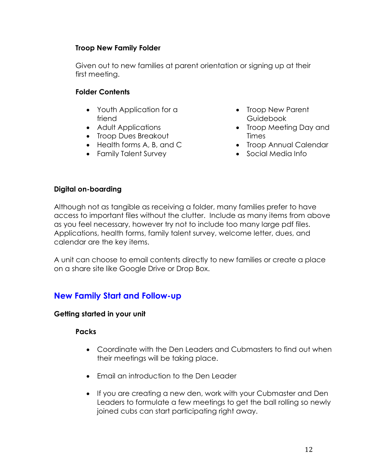#### **Troop New Family Folder**

Given out to new families at parent orientation or signing up at their first meeting.

#### **Folder Contents**

- Youth Application for a friend
- Adult Applications
- Troop Dues Breakout
- Health forms A, B, and C
- Family Talent Survey
- Troop New Parent Guidebook
- Troop Meeting Day and Times
- Troop Annual Calendar
- Social Media Info

#### **Digital on-boarding**

Although not as tangible as receiving a folder, many families prefer to have access to important files without the clutter. Include as many items from above as you feel necessary, however try not to include too many large pdf files. Applications, health forms, family talent survey, welcome letter, dues, and calendar are the key items.

A unit can choose to email contents directly to new families or create a place on a share site like Google Drive or Drop Box.

#### **New Family Start and Follow-up**

#### **Getting started in your unit**

#### **Packs**

- Coordinate with the Den Leaders and Cubmasters to find out when their meetings will be taking place.
- Email an introduction to the Den Leader
- If you are creating a new den, work with your Cubmaster and Den Leaders to formulate a few meetings to get the ball rolling so newly joined cubs can start participating right away.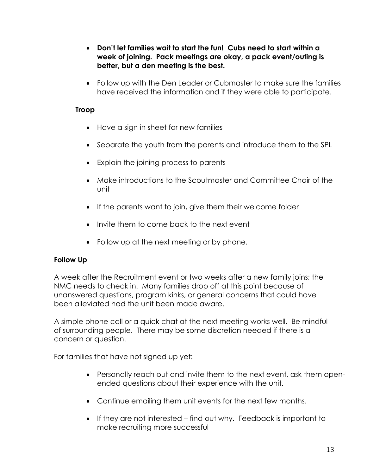- **Don't let families wait to start the fun! Cubs need to start within a week of joining. Pack meetings are okay, a pack event/outing is better, but a den meeting is the best.**
- Follow up with the Den Leader or Cubmaster to make sure the families have received the information and if they were able to participate.

#### **Troop**

- Have a sign in sheet for new families
- Separate the youth from the parents and introduce them to the SPL
- Explain the joining process to parents
- Make introductions to the Scoutmaster and Committee Chair of the unit
- If the parents want to join, give them their welcome folder
- Invite them to come back to the next event
- Follow up at the next meeting or by phone.

#### **Follow Up**

A week after the Recruitment event or two weeks after a new family joins; the NMC needs to check in. Many families drop off at this point because of unanswered questions, program kinks, or general concerns that could have been alleviated had the unit been made aware.

A simple phone call or a quick chat at the next meeting works well. Be mindful of surrounding people. There may be some discretion needed if there is a concern or question.

For families that have not signed up yet:

- Personally reach out and invite them to the next event, ask them openended questions about their experience with the unit.
- Continue emailing them unit events for the next few months.
- If they are not interested find out why. Feedback is important to make recruiting more successful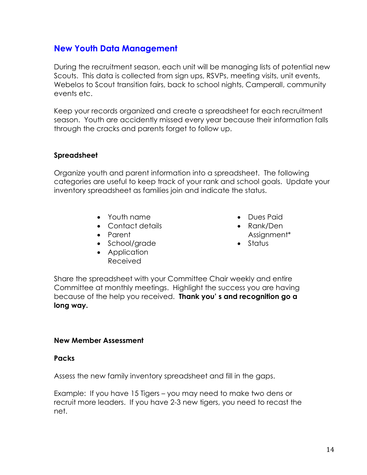#### **New Youth Data Management**

During the recruitment season, each unit will be managing lists of potential new Scouts. This data is collected from sign ups, RSVPs, meeting visits, unit events, Webelos to Scout transition fairs, back to school nights, Camperall, community events etc.

Keep your records organized and create a spreadsheet for each recruitment season. Youth are accidently missed every year because their information falls through the cracks and parents forget to follow up.

#### **Spreadsheet**

Organize youth and parent information into a spreadsheet. The following categories are useful to keep track of your rank and school goals. Update your inventory spreadsheet as families join and indicate the status.

- Youth name
- Contact details
- Parent
- School/grade
- Application Received
- Dues Paid
- Rank/Den Assignment\*
- Status

Share the spreadsheet with your Committee Chair weekly and entire Committee at monthly meetings. Highlight the success you are having because of the help you received. **Thank you' s and recognition go a long way.**

#### **New Member Assessment**

#### **Packs**

Assess the new family inventory spreadsheet and fill in the gaps.

Example: If you have 15 Tigers – you may need to make two dens or recruit more leaders. If you have 2-3 new tigers, you need to recast the net.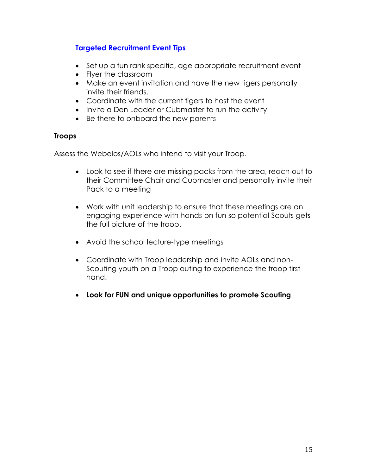#### **Targeted Recruitment Event Tips**

- Set up a fun rank specific, age appropriate recruitment event
- Flyer the classroom
- Make an event invitation and have the new tigers personally invite their friends.
- Coordinate with the current tigers to host the event
- Invite a Den Leader or Cubmaster to run the activity
- Be there to onboard the new parents

#### **Troops**

Assess the Webelos/AOLs who intend to visit your Troop.

- Look to see if there are missing packs from the area, reach out to their Committee Chair and Cubmaster and personally invite their Pack to a meeting
- Work with unit leadership to ensure that these meetings are an engaging experience with hands-on fun so potential Scouts gets the full picture of the troop.
- Avoid the school lecture-type meetings
- Coordinate with Troop leadership and invite AOLs and non-Scouting youth on a Troop outing to experience the troop first hand.
- **Look for FUN and unique opportunities to promote Scouting**